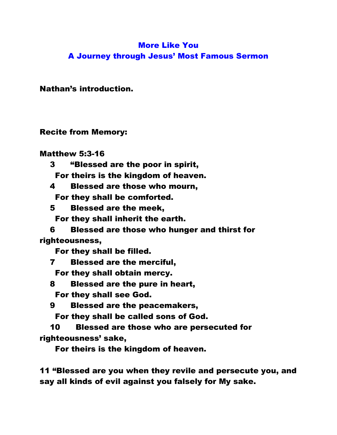# More Like You A Journey through Jesus' Most Famous Sermon

Nathan's introduction.

Recite from Memory:

Matthew 5:3-16

- 3 "Blessed are the poor in spirit, For theirs is the kingdom of heaven.
- 4 Blessed are those who mourn, For they shall be comforted.
- 5 Blessed are the meek,

For they shall inherit the earth.

 6 Blessed are those who hunger and thirst for righteousness,

For they shall be filled.

7 Blessed are the merciful,

For they shall obtain mercy.

- 8 Blessed are the pure in heart, For they shall see God.
- 9 Blessed are the peacemakers,

For they shall be called sons of God.

 10 Blessed are those who are persecuted for righteousness' sake,

For theirs is the kingdom of heaven.

11 "Blessed are you when they revile and persecute you, and say all kinds of evil against you falsely for My sake.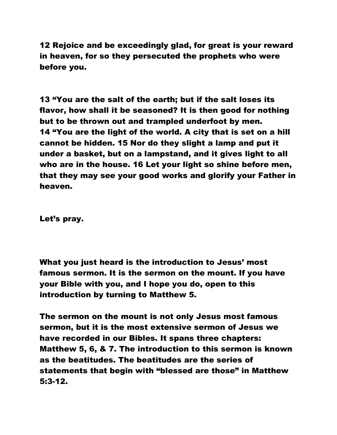12 Rejoice and be exceedingly glad, for great is your reward in heaven, for so they persecuted the prophets who were before you.

13 "You are the salt of the earth; but if the salt loses its flavor, how shall it be seasoned? It is then good for nothing but to be thrown out and trampled underfoot by men. 14 "You are the light of the world. A city that is set on a hill cannot be hidden. 15 Nor do they slight a lamp and put it under a basket, but on a lampstand, and it gives light to all who are in the house. 16 Let your light so shine before men, that they may see your good works and glorify your Father in heaven.

Let's pray.

What you just heard is the introduction to Jesus' most famous sermon. It is the sermon on the mount. If you have your Bible with you, and I hope you do, open to this introduction by turning to Matthew 5.

The sermon on the mount is not only Jesus most famous sermon, but it is the most extensive sermon of Jesus we have recorded in our Bibles. It spans three chapters: Matthew 5, 6, & 7. The introduction to this sermon is known as the beatitudes. The beatitudes are the series of statements that begin with "blessed are those" in Matthew 5:3-12.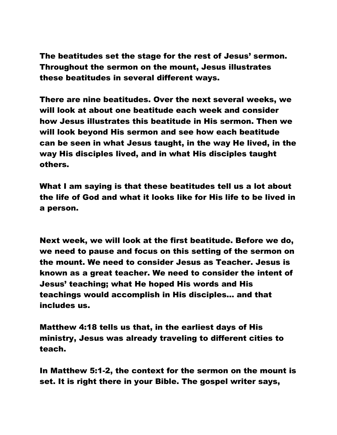The beatitudes set the stage for the rest of Jesus' sermon. Throughout the sermon on the mount, Jesus illustrates these beatitudes in several different ways.

There are nine beatitudes. Over the next several weeks, we will look at about one beatitude each week and consider how Jesus illustrates this beatitude in His sermon. Then we will look beyond His sermon and see how each beatitude can be seen in what Jesus taught, in the way He lived, in the way His disciples lived, and in what His disciples taught others.

What I am saying is that these beatitudes tell us a lot about the life of God and what it looks like for His life to be lived in a person.

Next week, we will look at the first beatitude. Before we do, we need to pause and focus on this setting of the sermon on the mount. We need to consider Jesus as Teacher. Jesus is known as a great teacher. We need to consider the intent of Jesus' teaching; what He hoped His words and His teachings would accomplish in His disciples… and that includes us.

Matthew 4:18 tells us that, in the earliest days of His ministry, Jesus was already traveling to different cities to teach.

In Matthew 5:1-2, the context for the sermon on the mount is set. It is right there in your Bible. The gospel writer says,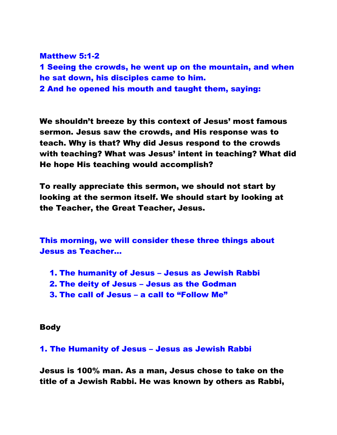Matthew 5:1-2 1 Seeing the crowds, he went up on the mountain, and when he sat down, his disciples came to him. 2 And he opened his mouth and taught them, saying:

We shouldn't breeze by this context of Jesus' most famous sermon. Jesus saw the crowds, and His response was to teach. Why is that? Why did Jesus respond to the crowds with teaching? What was Jesus' intent in teaching? What did He hope His teaching would accomplish?

To really appreciate this sermon, we should not start by looking at the sermon itself. We should start by looking at the Teacher, the Great Teacher, Jesus.

This morning, we will consider these three things about Jesus as Teacher…

- 1. The humanity of Jesus Jesus as Jewish Rabbi
- 2. The deity of Jesus Jesus as the Godman
- 3. The call of Jesus a call to "Follow Me"

# Body

# 1. The Humanity of Jesus – Jesus as Jewish Rabbi

Jesus is 100% man. As a man, Jesus chose to take on the title of a Jewish Rabbi. He was known by others as Rabbi,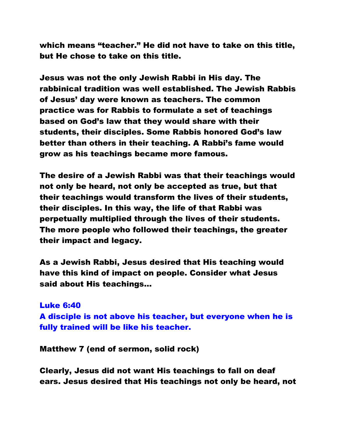which means "teacher." He did not have to take on this title, but He chose to take on this title.

Jesus was not the only Jewish Rabbi in His day. The rabbinical tradition was well established. The Jewish Rabbis of Jesus' day were known as teachers. The common practice was for Rabbis to formulate a set of teachings based on God's law that they would share with their students, their disciples. Some Rabbis honored God's law better than others in their teaching. A Rabbi's fame would grow as his teachings became more famous.

The desire of a Jewish Rabbi was that their teachings would not only be heard, not only be accepted as true, but that their teachings would transform the lives of their students, their disciples. In this way, the life of that Rabbi was perpetually multiplied through the lives of their students. The more people who followed their teachings, the greater their impact and legacy.

As a Jewish Rabbi, Jesus desired that His teaching would have this kind of impact on people. Consider what Jesus said about His teachings…

# Luke 6:40

A disciple is not above his teacher, but everyone when he is fully trained will be like his teacher.

Matthew 7 (end of sermon, solid rock)

Clearly, Jesus did not want His teachings to fall on deaf ears. Jesus desired that His teachings not only be heard, not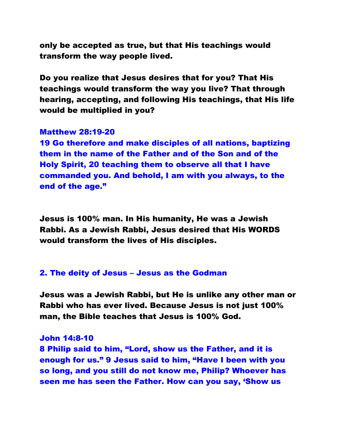only be accepted as true, but that His teachings would transform the way people lived.

Do you realize that Jesus desires that for you? That His teachings would transform the way you live? That through hearing, accepting, and following His teachings, that His life would be multiplied in you?

# Matthew 28:19-20

19 Go therefore and make disciples of all nations, baptizing them in the name of the Father and of the Son and of the Holy Spirit, 20 teaching them to observe all that I have commanded you. And behold, I am with you always, to the end of the age."

Jesus is 100% man. In His humanity, He was a Jewish Rabbi. As a Jewish Rabbi, Jesus desired that His WORDS would transform the lives of His disciples.

### 2. The deity of Jesus – Jesus as the Godman

Jesus was a Jewish Rabbi, but He is unlike any other man or Rabbi who has ever lived. Because Jesus is not just 100% man, the Bible teaches that Jesus is 100% God.

#### John 14:8-10

8 Philip said to him, "Lord, show us the Father, and it is enough for us." 9 Jesus said to him, "Have I been with you so long, and you still do not know me, Philip? Whoever has seen me has seen the Father. How can you say, 'Show us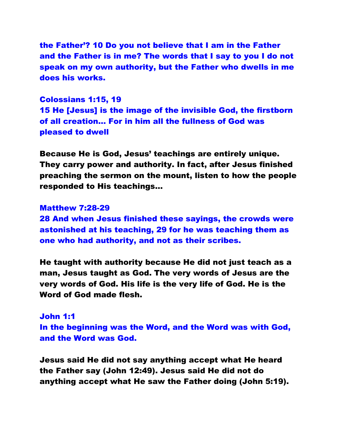the Father'? 10 Do you not believe that I am in the Father and the Father is in me? The words that I say to you I do not speak on my own authority, but the Father who dwells in me does his works.

Colossians 1:15, 19 15 He [Jesus] is the image of the invisible God, the firstborn of all creation… For in him all the fullness of God was pleased to dwell

Because He is God, Jesus' teachings are entirely unique. They carry power and authority. In fact, after Jesus finished preaching the sermon on the mount, listen to how the people responded to His teachings…

#### Matthew 7:28-29

28 And when Jesus finished these sayings, the crowds were astonished at his teaching, 29 for he was teaching them as one who had authority, and not as their scribes.

He taught with authority because He did not just teach as a man, Jesus taught as God. The very words of Jesus are the very words of God. His life is the very life of God. He is the Word of God made flesh.

# John 1:1 In the beginning was the Word, and the Word was with God, and the Word was God.

Jesus said He did not say anything accept what He heard the Father say (John 12:49). Jesus said He did not do anything accept what He saw the Father doing (John 5:19).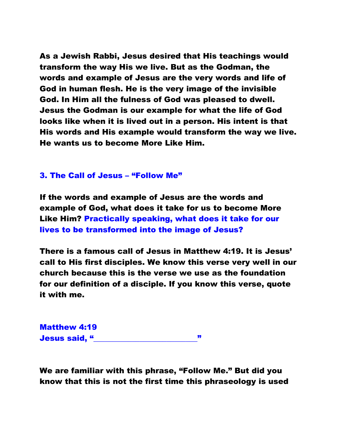As a Jewish Rabbi, Jesus desired that His teachings would transform the way His we live. But as the Godman, the words and example of Jesus are the very words and life of God in human flesh. He is the very image of the invisible God. In Him all the fulness of God was pleased to dwell. Jesus the Godman is our example for what the life of God looks like when it is lived out in a person. His intent is that His words and His example would transform the way we live. He wants us to become More Like Him.

## 3. The Call of Jesus – "Follow Me"

If the words and example of Jesus are the words and example of God, what does it take for us to become More Like Him? Practically speaking, what does it take for our lives to be transformed into the image of Jesus?

There is a famous call of Jesus in Matthew 4:19. It is Jesus' call to His first disciples. We know this verse very well in our church because this is the verse we use as the foundation for our definition of a disciple. If you know this verse, quote it with me.

Matthew 4:19 Jesus said, "\_\_\_\_\_\_\_\_\_\_\_\_\_\_\_\_\_\_\_\_\_\_\_\_\_\_\_"

We are familiar with this phrase, "Follow Me." But did you know that this is not the first time this phraseology is used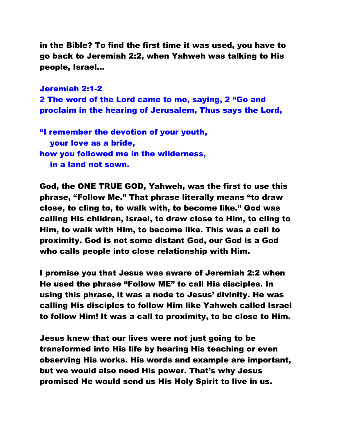in the Bible? To find the first time it was used, you have to go back to Jeremiah 2:2, when Yahweh was talking to His people, Israel…

Jeremiah 2:1-2 2 The word of the Lord came to me, saying, 2 "Go and proclaim in the hearing of Jerusalem, Thus says the Lord,

"I remember the devotion of your youth, your love as a bride, how you followed me in the wilderness, in a land not sown.

God, the ONE TRUE GOD, Yahweh, was the first to use this phrase, "Follow Me." That phrase literally means "to draw close, to cling to, to walk with, to become like." God was calling His children, Israel, to draw close to Him, to cling to Him, to walk with Him, to become like. This was a call to proximity. God is not some distant God, our God is a God who calls people into close relationship with Him.

I promise you that Jesus was aware of Jeremiah 2:2 when He used the phrase "Follow ME" to call His disciples. In using this phrase, it was a node to Jesus' divinity. He was calling His disciples to follow Him like Yahweh called Israel to follow Him! It was a call to proximity, to be close to Him.

Jesus knew that our lives were not just going to be transformed into His life by hearing His teaching or even observing His works. His words and example are important, but we would also need His power. That's why Jesus promised He would send us His Holy Spirit to live in us.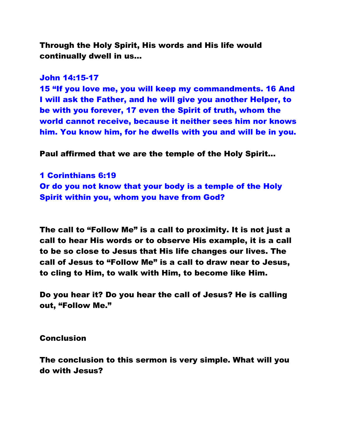Through the Holy Spirit, His words and His life would continually dwell in us…

### John 14:15-17

15 "If you love me, you will keep my commandments. 16 And I will ask the Father, and he will give you another Helper, to be with you forever, 17 even the Spirit of truth, whom the world cannot receive, because it neither sees him nor knows him. You know him, for he dwells with you and will be in you.

Paul affirmed that we are the temple of the Holy Spirit…

1 Corinthians 6:19 Or do you not know that your body is a temple of the Holy Spirit within you, whom you have from God?

The call to "Follow Me" is a call to proximity. It is not just a call to hear His words or to observe His example, it is a call to be so close to Jesus that His life changes our lives. The call of Jesus to "Follow Me" is a call to draw near to Jesus, to cling to Him, to walk with Him, to become like Him.

Do you hear it? Do you hear the call of Jesus? He is calling out, "Follow Me."

Conclusion

The conclusion to this sermon is very simple. What will you do with Jesus?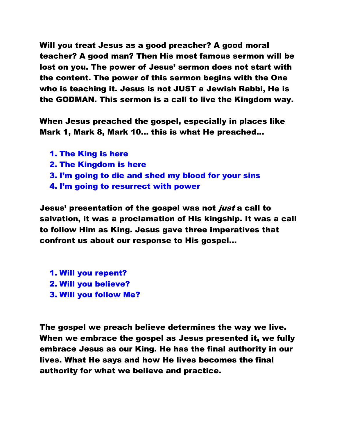Will you treat Jesus as a good preacher? A good moral teacher? A good man? Then His most famous sermon will be lost on you. The power of Jesus' sermon does not start with the content. The power of this sermon begins with the One who is teaching it. Jesus is not JUST a Jewish Rabbi, He is the GODMAN. This sermon is a call to live the Kingdom way.

When Jesus preached the gospel, especially in places like Mark 1, Mark 8, Mark 10… this is what He preached…

- 1. The King is here
- 2. The Kingdom is here
- 3. I'm going to die and shed my blood for your sins
- 4. I'm going to resurrect with power

Jesus' presentation of the gospel was not *just* a call to salvation, it was a proclamation of His kingship. It was a call to follow Him as King. Jesus gave three imperatives that confront us about our response to His gospel…

- 1. Will you repent?
- 2. Will you believe?
- 3. Will you follow Me?

The gospel we preach believe determines the way we live. When we embrace the gospel as Jesus presented it, we fully embrace Jesus as our King. He has the final authority in our lives. What He says and how He lives becomes the final authority for what we believe and practice.